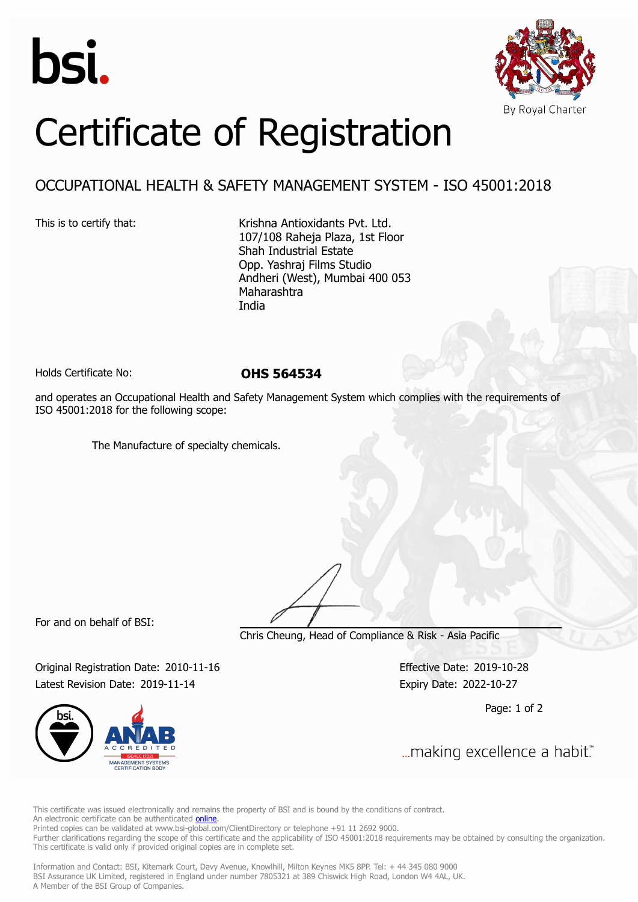



## Certificate of Registration

## OCCUPATIONAL HEALTH & SAFETY MANAGEMENT SYSTEM - ISO 45001:2018

This is to certify that: Krishna Antioxidants Pvt. Ltd. 107/108 Raheja Plaza, 1st Floor Shah Industrial Estate Opp. Yashraj Films Studio Andheri (West), Mumbai 400 053 Maharashtra India

Holds Certificate No: **OHS 564534**

and operates an Occupational Health and Safety Management System which complies with the requirements of ISO 45001:2018 for the following scope:

The Manufacture of specialty chemicals.

For and on behalf of BSI:

Chris Cheung, Head of Compliance & Risk - Asia Pacific

Original Registration Date: 2010-11-16 Effective Date: 2019-10-28 Latest Revision Date: 2019-11-14 Expiry Date: 2022-10-27

Page: 1 of 2



... making excellence a habit."

This certificate was issued electronically and remains the property of BSI and is bound by the conditions of contract. An electronic certificate can be authenticated **[online](https://pgplus.bsigroup.com/CertificateValidation/CertificateValidator.aspx?CertificateNumber=OHS+564534&ReIssueDate=14%2f11%2f2019&Template=india_en)** 

Printed copies can be validated at www.bsi-global.com/ClientDirectory or telephone +91 11 2692 9000. Further clarifications regarding the scope of this certificate and the applicability of ISO 45001:2018 requirements may be obtained by consulting the organization. This certificate is valid only if provided original copies are in complete set.

Information and Contact: BSI, Kitemark Court, Davy Avenue, Knowlhill, Milton Keynes MK5 8PP. Tel: + 44 345 080 9000 BSI Assurance UK Limited, registered in England under number 7805321 at 389 Chiswick High Road, London W4 4AL, UK. A Member of the BSI Group of Companies.